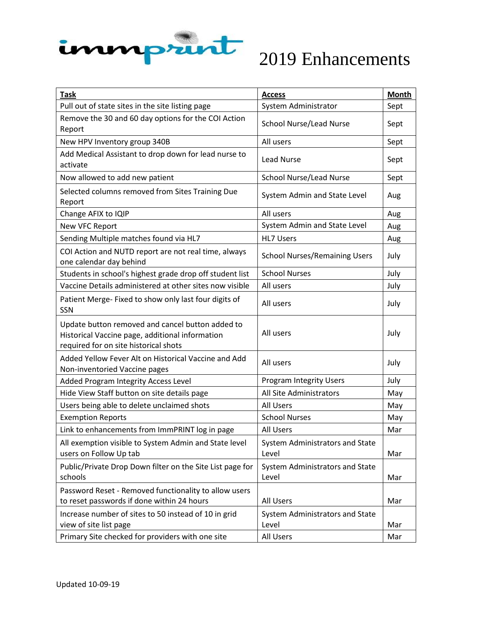

| <b>Task</b>                                                                                                                                  | <b>Access</b>                            | Month |
|----------------------------------------------------------------------------------------------------------------------------------------------|------------------------------------------|-------|
| Pull out of state sites in the site listing page                                                                                             | System Administrator                     | Sept  |
| Remove the 30 and 60 day options for the COI Action<br>Report                                                                                | <b>School Nurse/Lead Nurse</b>           | Sept  |
| New HPV Inventory group 340B                                                                                                                 | All users                                | Sept  |
| Add Medical Assistant to drop down for lead nurse to<br>activate                                                                             | <b>Lead Nurse</b>                        | Sept  |
| Now allowed to add new patient                                                                                                               | <b>School Nurse/Lead Nurse</b>           | Sept  |
| Selected columns removed from Sites Training Due<br>Report                                                                                   | System Admin and State Level             | Aug   |
| Change AFIX to IQIP                                                                                                                          | All users                                | Aug   |
| <b>New VFC Report</b>                                                                                                                        | System Admin and State Level             | Aug   |
| Sending Multiple matches found via HL7                                                                                                       | <b>HL7 Users</b>                         | Aug   |
| COI Action and NUTD report are not real time, always<br>one calendar day behind                                                              | <b>School Nurses/Remaining Users</b>     | July  |
| Students in school's highest grade drop off student list                                                                                     | <b>School Nurses</b>                     | July  |
| Vaccine Details administered at other sites now visible                                                                                      | All users                                | July  |
| Patient Merge- Fixed to show only last four digits of<br>SSN                                                                                 | All users                                | July  |
| Update button removed and cancel button added to<br>Historical Vaccine page, additional information<br>required for on site historical shots | All users                                | July  |
| Added Yellow Fever Alt on Historical Vaccine and Add<br>Non-inventoried Vaccine pages                                                        | All users                                | July  |
| Added Program Integrity Access Level                                                                                                         | <b>Program Integrity Users</b>           | July  |
| Hide View Staff button on site details page                                                                                                  | <b>All Site Administrators</b>           | May   |
| Users being able to delete unclaimed shots                                                                                                   | <b>All Users</b>                         | May   |
| <b>Exemption Reports</b>                                                                                                                     | <b>School Nurses</b>                     | May   |
| Link to enhancements from ImmPRINT log in page                                                                                               | <b>All Users</b>                         | Mar   |
| All exemption visible to System Admin and State level<br>users on Follow Up tab                                                              | System Administrators and State<br>Level | Mar   |
| Public/Private Drop Down filter on the Site List page for<br>schools                                                                         | System Administrators and State<br>Level | Mar   |
| Password Reset - Removed functionality to allow users<br>to reset passwords if done within 24 hours                                          | All Users                                | Mar   |
| Increase number of sites to 50 instead of 10 in grid<br>view of site list page                                                               | System Administrators and State<br>Level | Mar   |
| Primary Site checked for providers with one site                                                                                             | All Users                                | Mar   |